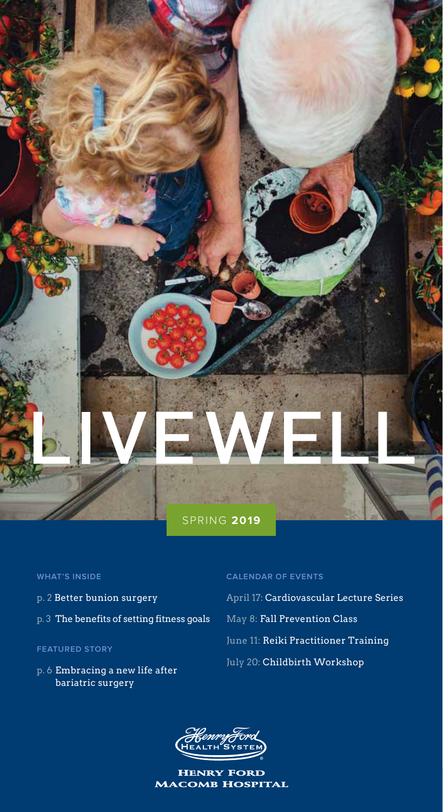

## **WHAT'S INSIDE**

- p. 2 Better bunion surgery
- p. 3 The benefits of setting fitness goals

## **FEATURED STORY**

p. 6 Embracing a new life after bariatric surgery

## **CALENDAR OF EVENTS**

April 17: Cardiovascular Lecture Series May 8: Fall Prevention Class June 11: Reiki Practitioner Training July 20: Childbirth Workshop



Henry Ford Macomb Hospital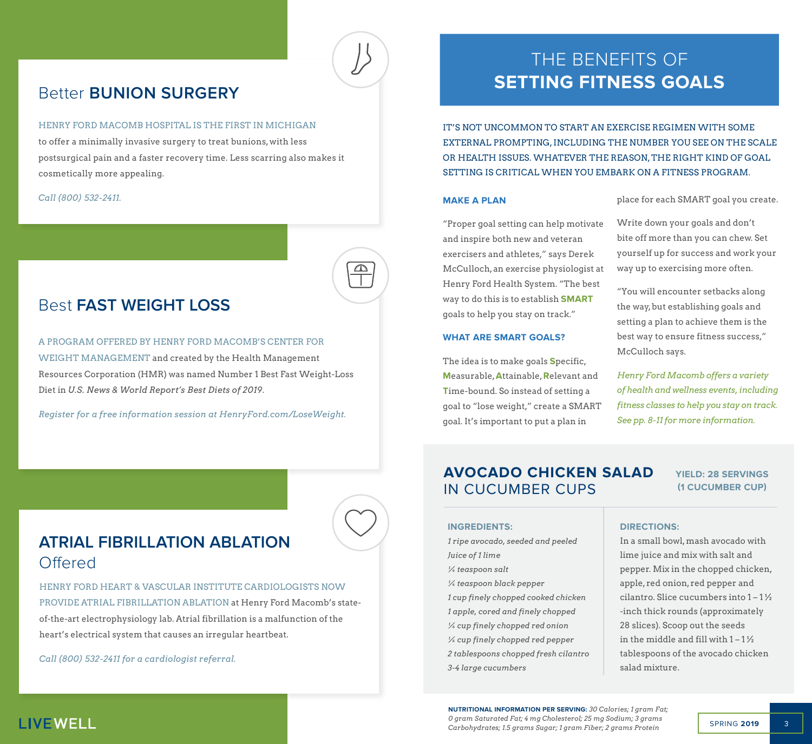## Better **BUNION SURGERY**

#### HENRY FORD MACOMB HOSPITAL IS THE FIRST IN MICHIGAN

to offer a minimally invasive surgery to treat bunions, with less postsurgical pain and a faster recovery time. Less scarring also makes it cosmetically more appealing.

*Call (800) 532-2411.*

## Best **FAST WEIGHT LOSS**

A PROGRAM OFFERED BY HENRY FORD MACOMB'S CENTER FOR WEIGHT MANAGEMENT and created by the Health Management Resources Corporation (HMR) was named Number 1 Best Fast Weight-Loss Diet in *U.S. News & World Report's Best Diets of 2019*.

*Register for a free information session at HenryFord.com/LoseWeight.*

## **ATRIAL FIBRILLATION ABLATION Offered**

HENRY FORD HEART & VASCULAR INSTITUTE CARDIOLOGISTS NOW PROVIDE ATRIAL FIBRILLATION ABLATION at Henry Ford Macomb's stateof-the-art electrophysiology lab. Atrial fibrillation is a malfunction of the heart's electrical system that causes an irregular heartbeat.

*Call (800) 532-2411 for a cardiologist referral.*

## THE BENEFITS OF **SETTING FITNESS GOALS**

IT'S NOT UNCOMMON TO START AN EXERCISE REGIMEN WITH SOME EXTERNAL PROMPTING, INCLUDING THE NUMBER YOU SEE ON THE SCALE OR HEALTH ISSUES. WHATEVER THE REASON, THE RIGHT KIND OF GOAL SETTING IS CRITICAL WHEN YOU EMBARK ON A FITNESS PROGRAM.

### **MAKE A PLAN**

 $\mathbf{D}$ 

place for each SMART goal you create.

"Proper goal setting can help motivate and inspire both new and veteran exercisers and athletes," says Derek McCulloch, an exercise physiologist at Henry Ford Health System. "The best way to do this is to establish **SMART**  goals to help you stay on track."

#### **WHAT ARE SMART GOALS?**

The idea is to make goals **S**pecific, **M**easurable, **A**ttainable, **R**elevant and **T**ime-bound. So instead of setting a goal to "lose weight," create a SMART goal. It's important to put a plan in

Write down your goals and don't bite off more than you can chew. Set yourself up for success and work your way up to exercising more often.

"You will encounter setbacks along the way, but establishing goals and setting a plan to achieve them is the best way to ensure fitness success," McCulloch says.

*Henry Ford Macomb offers a variety of health and wellness events, including fitness classes to help you stay on track. See pp. 8-11 for more information.* 

## **AVOCADO CHICKEN SALAD**  IN CUCUMBER CUPS

## **YIELD: 28 SERVINGS (1 CUCUMBER CUP)**

### **INGREDIENTS:**

*1 ripe avocado, seeded and peeled Juice of 1 lime ¼ teaspoon salt ¼ teaspoon black pepper 1 cup finely chopped cooked chicken 1 apple, cored and finely chopped ¼ cup finely chopped red onion ¼ cup finely chopped red pepper 2 tablespoons chopped fresh cilantro 3-4 large cucumbers*

## **DIRECTIONS:**

In a small bowl, mash avocado with lime juice and mix with salt and pepper. Mix in the chopped chicken, apple, red onion, red pepper and cilantro. Slice cucumbers into  $1 - 1\frac{1}{2}$ -inch thick rounds (approximately 28 slices). Scoop out the seeds in the middle and fill with  $1 - 1\frac{1}{2}$ tablespoons of the avocado chicken salad mixture.

**NUTRITIONAL INFORMATION PER SERVING:** *30 Calories; 1 gram Fat; 0 gram Saturated Fat; 4 mg Cholesterol; 25 mg Sodium; 3 grams Carbohydrates; 1.5 grams Sugar; 1 gram Fiber; 2 grams Protein*

## **LIVEWELL**

SPRING **2019** 3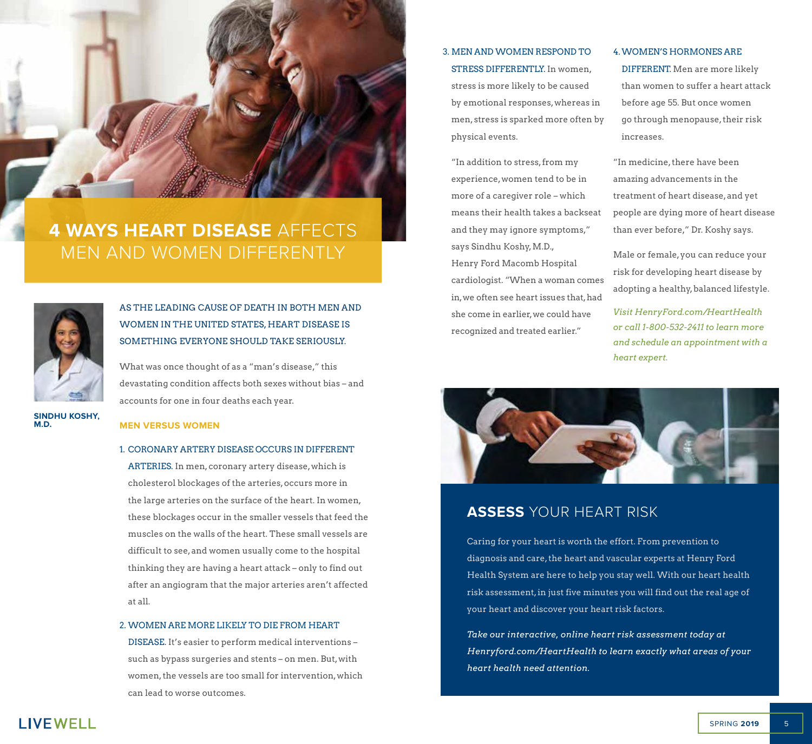

## **4 WAYS HEART DISEASE** AFFECTS MEN AND WOMEN DIFFERENTLY



## AS THE LEADING CAUSE OF DEATH IN BOTH MEN AND WOMEN IN THE UNITED STATES, HEART DISEASE IS SOMETHING EVERYONE SHOULD TAKE SERIOUSLY.

What was once thought of as a "man's disease," this devastating condition affects both sexes without bias – and accounts for one in four deaths each year.

**SINDHU KOSHY, M.D.**

## **MEN VERSUS WOMEN**

#### 1. CORONARY ARTERY DISEASE OCCURS IN DIFFERENT

ARTERIES. In men, coronary artery disease, which is cholesterol blockages of the arteries, occurs more in the large arteries on the surface of the heart. In women, these blockages occur in the smaller vessels that feed the muscles on the walls of the heart. These small vessels are difficult to see, and women usually come to the hospital thinking they are having a heart attack – only to find out after an angiogram that the major arteries aren't affected at all.

#### 2. WOMEN ARE MORE LIKELY TO DIE FROM HEART

DISEASE. It's easier to perform medical interventions – such as bypass surgeries and stents – on men. But, with women, the vessels are too small for intervention, which can lead to worse outcomes.

## 3. MEN AND WOMEN RESPOND TO STRESS DIFFERENTLY. In women, stress is more likely to be caused by emotional responses, whereas in men, stress is sparked more often by physical events.

"In addition to stress, from my experience, women tend to be in more of a caregiver role – which means their health takes a backseat and they may ignore symptoms," says Sindhu Koshy, M.D., Henry Ford Macomb Hospital cardiologist. "When a woman comes in, we often see heart issues that, had she come in earlier, we could have recognized and treated earlier."

#### 4.WOMEN'S HORMONES ARE

DIFFERENT. Men are more likely than women to suffer a heart attack before age 55. But once women go through menopause, their risk increases.

"In medicine, there have been amazing advancements in the treatment of heart disease, and yet people are dying more of heart disease than ever before," Dr. Koshy says.

Male or female, you can reduce your risk for developing heart disease by adopting a healthy, balanced lifestyle.

*Visit HenryFord.com/HeartHealth or call 1-800-532-2411 to learn more and schedule an appointment with a heart expert.* 



## **ASSESS** YOUR HEART RISK

Caring for your heart is worth the effort. From prevention to diagnosis and care, the heart and vascular experts at Henry Ford Health System are here to help you stay well. With our heart health risk assessment, in just five minutes you will find out the real age of your heart and discover your heart risk factors.

*Take our interactive, online heart risk assessment today at Henryford.com/HeartHealth to learn exactly what areas of your heart health need attention.*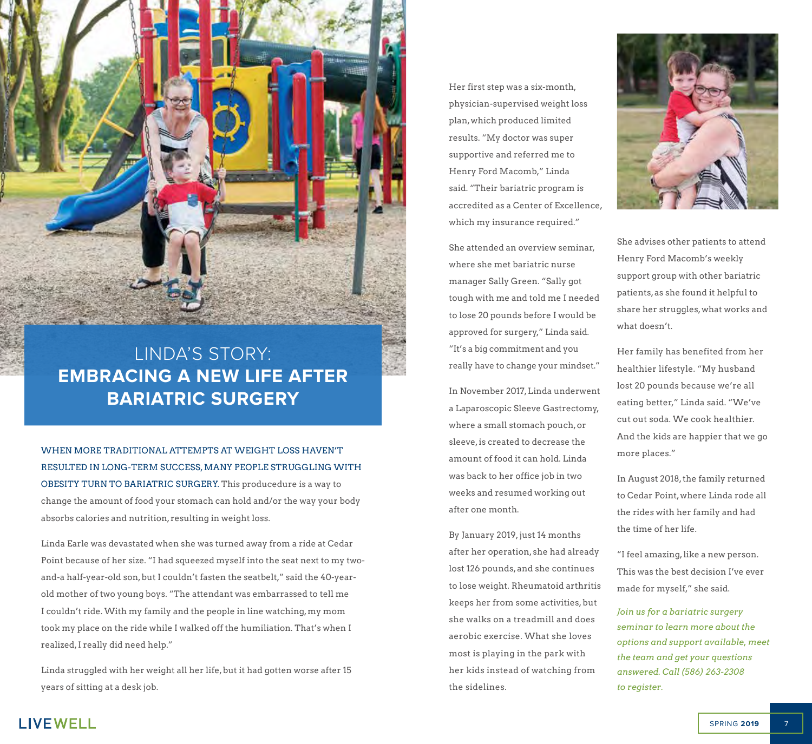LINDA'S STORY: **EMBRACING A NEW LIFE AFTER BARIATRIC SURGERY**

WHEN MORE TRADITIONAL ATTEMPTS AT WEIGHT LOSS HAVEN'T RESULTED IN LONG-TERM SUCCESS, MANY PEOPLE STRUGGLING WITH OBESITY TURN TO BARIATRIC SURGERY. This producedure is a way to change the amount of food your stomach can hold and/or the way your body absorbs calories and nutrition, resulting in weight loss.

Linda Earle was devastated when she was turned away from a ride at Cedar Point because of her size. "I had squeezed myself into the seat next to my twoand-a half-year-old son, but I couldn't fasten the seatbelt," said the 40-yearold mother of two young boys. "The attendant was embarrassed to tell me I couldn't ride. With my family and the people in line watching, my mom took my place on the ride while I walked off the humiliation. That's when I realized, I really did need help."

Linda struggled with her weight all her life, but it had gotten worse after 15 years of sitting at a desk job.

Her first step was a six-month, physician-supervised weight loss plan, which produced limited results. "My doctor was super supportive and referred me to Henry Ford Macomb," Linda said. "Their bariatric program is accredited as a Center of Excellence, which my insurance required."

She attended an overview seminar, where she met bariatric nurse manager Sally Green. "Sally got tough with me and told me I needed to lose 20 pounds before I would be approved for surgery," Linda said. "It's a big commitment and you really have to change your mindset."

In November 2017, Linda underwent a Laparoscopic Sleeve Gastrectomy, where a small stomach pouch, or sleeve, is created to decrease the amount of food it can hold. Linda was back to her office job in two weeks and resumed working out after one month.

By January 2019, just 14 months after her operation, she had already lost 126 pounds, and she continues to lose weight. Rheumatoid arthritis keeps her from some activities, but she walks on a treadmill and does aerobic exercise. What she loves most is playing in the park with her kids instead of watching from the sidelines.



She advises other patients to attend Henry Ford Macomb's weekly support group with other bariatric patients, as she found it helpful to share her struggles, what works and what doesn't.

Her family has benefited from her healthier lifestyle. "My husband lost 20 pounds because we're all eating better," Linda said. "We've cut out soda. We cook healthier. And the kids are happier that we go more places."

In August 2018, the family returned to Cedar Point, where Linda rode all the rides with her family and had the time of her life.

"I feel amazing, like a new person. This was the best decision I've ever made for myself," she said.

*Join us for a bariatric surgery seminar to learn more about the options and support available, meet the team and get your questions answered. Call (586) 263-2308 to register.*

**LIVEWELL**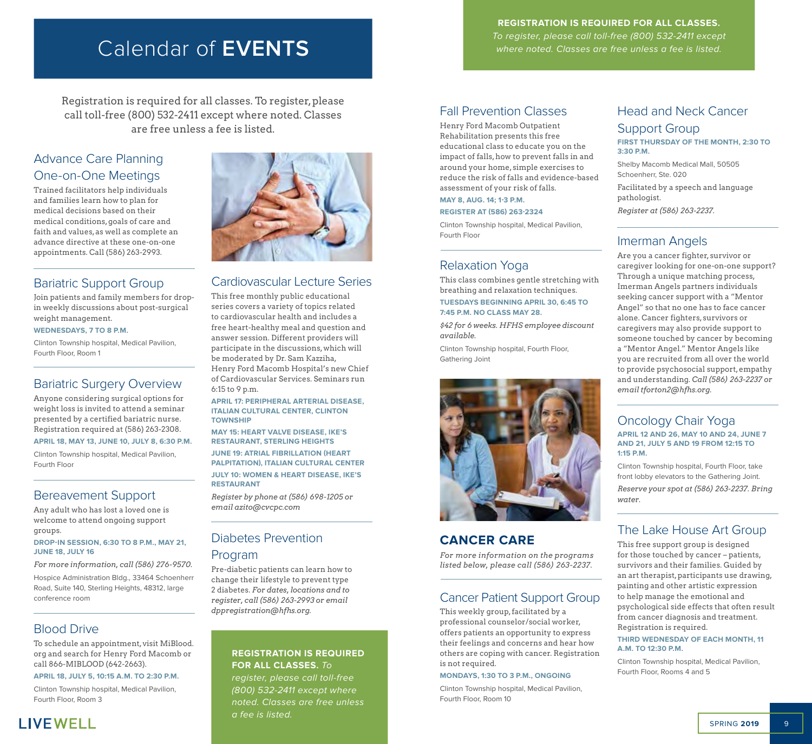# Calendar of **EVENTS**

Registration is required for all classes. To register, please call toll-free (800) 532-2411 except where noted. Classes are free unless a fee is listed.

## Advance Care Planning One-on-One Meetings

Trained facilitators help individuals and families learn how to plan for medical decisions based on their medical conditions, goals of care and faith and values, as well as complete an advance directive at these one-on-one appointments. Call (586) 263-2993.

## Bariatric Support Group

Join patients and family members for dropin weekly discussions about post-surgical weight management.

**WEDNESDAYS, 7 TO 8 P.M.**

Clinton Township hospital, Medical Pavilion, Fourth Floor, Room 1

## Bariatric Surgery Overview

Anyone considering surgical options for weight loss is invited to attend a seminar presented by a certified bariatric nurse. Registration required at (586) 263-2308. **APRIL 18, MAY 13, JUNE 10, JULY 8, 6:30 P.M.**

Clinton Township hospital, Medical Pavilion, Fourth Floor

## Bereavement Support

Any adult who has lost a loved one is welcome to attend ongoing support groups.

**DROP-IN SESSION, 6:30 TO 8 P.M., MAY 21, JUNE 18, JULY 16**

*For more information, call (586) 276-9570.* 

Hospice Administration Bldg., 33464 Schoenherr Road, Suite 140, Sterling Heights, 48312, large conference room

## Blood Drive

To schedule an appointment, visit MiBlood. org and search for Henry Ford Macomb or call 866-MIBLOOD (642-2663).

**APRIL 18, JULY 5, 10:15 A.M. TO 2:30 P.M.**

Clinton Township hospital, Medical Pavilion, Fourth Floor, Room 3





## Cardiovascular Lecture Series

This free monthly public educational series covers a variety of topics related to cardiovascular health and includes a free heart-healthy meal and question and answer session. Different providers will participate in the discussions, which will be moderated by Dr. Sam Kazziha, Henry Ford Macomb Hospital's new Chief of Cardiovascular Services. Seminars run 6:15 to 9 p.m.

**APRIL 17: PERIPHERAL ARTERIAL DISEASE, ITALIAN CULTURAL CENTER, CLINTON TOWNSHIP**

**MAY 15: HEART VALVE DISEASE, IKE'S RESTAURANT, STERLING HEIGHTS**

**JUNE 19: ATRIAL FIBRILLATION (HEART PALPITATION), ITALIAN CULTURAL CENTER JULY 10: WOMEN & HEART DISEASE, IKE'S RESTAURANT**

*Register by phone at (586) 698-1205 or email azito@cvcpc.com*

## Diabetes Prevention

## Program

Pre-diabetic patients can learn how to change their lifestyle to prevent type 2 diabetes. *For dates, locations and to register, call (586) 263-2993 or email dppregistration@hfhs.org.*

## **REGISTRATION IS REQUIRED FOR ALL CLASSES.** To

register, please call toll-free (800) 532-2411 except where noted. Classes are free unless a fee is listed.

## **REGISTRATION IS REQUIRED FOR ALL CLASSES.**  To register, please call toll-free (800) 532-2411 except

where noted. Classes are free unless a fee is listed.

## Fall Prevention Classes

Henry Ford Macomb Outpatient Rehabilitation presents this free educational class to educate you on the impact of falls, how to prevent falls in and around your home, simple exercises to reduce the risk of falls and evidence-based assessment of your risk of falls.

**MAY 8, AUG. 14; 1-3 P.M.**

**REGISTER AT (586) 263-2324** 

Clinton Township hospital, Medical Pavilion, Fourth Floor

## Relaxation Yoga

This class combines gentle stretching with breathing and relaxation techniques. **TUESDAYS BEGINNING APRIL 30, 6:45 TO 7:45 P.M. NO CLASS MAY 28.**

*\$42 for 6 weeks. HFHS employee discount available.*

Clinton Township hospital, Fourth Floor, Gathering Joint



## **CANCER CARE**

*For more information on the programs listed below, please call (586) 263-2237.*

## Cancer Patient Support Group

This weekly group, facilitated by a professional counselor/social worker, offers patients an opportunity to express their feelings and concerns and hear how others are coping with cancer. Registration is not required.

#### **MONDAYS, 1:30 TO 3 P.M., ONGOING**

Clinton Township hospital, Medical Pavilion, Fourth Floor, Room 10

## Head and Neck Cancer Support Group

**FIRST THURSDAY OF THE MONTH, 2:30 TO 3:30 P.M.**

Shelby Macomb Medical Mall, 50505 Schoenherr, Ste. 020

Facilitated by a speech and language pathologist.

*Register at (586) 263-2237.*

## Imerman Angels

Are you a cancer fighter, survivor or caregiver looking for one-on-one support? Through a unique matching process, Imerman Angels partners individuals seeking cancer support with a "Mentor Angel" so that no one has to face cancer alone. Cancer fighters, survivors or caregivers may also provide support to someone touched by cancer by becoming a "Mentor Angel." Mentor Angels like you are recruited from all over the world to provide psychosocial support, empathy and understanding. *Call (586) 263-2237 or email tforton2@hfhs.org.*

#### Oncology Chair Yoga **APRIL 12 AND 26, MAY 10 AND 24, JUNE 7 AND 21, JULY 5 AND 19 FROM 12:15 TO 1:15 P.M.**

Clinton Township hospital, Fourth Floor, take front lobby elevators to the Gathering Joint. *Reserve your spot at (586) 263-2237. Bring water.*

## The Lake House Art Group

This free support group is designed for those touched by cancer – patients, survivors and their families. Guided by an art therapist, participants use drawing, painting and other artistic expression to help manage the emotional and psychological side effects that often result from cancer diagnosis and treatment. Registration is required.

#### **THIRD WEDNESDAY OF EACH MONTH, 11 A.M. TO 12:30 P.M.**

Clinton Township hospital, Medical Pavilion, Fourth Floor, Rooms 4 and 5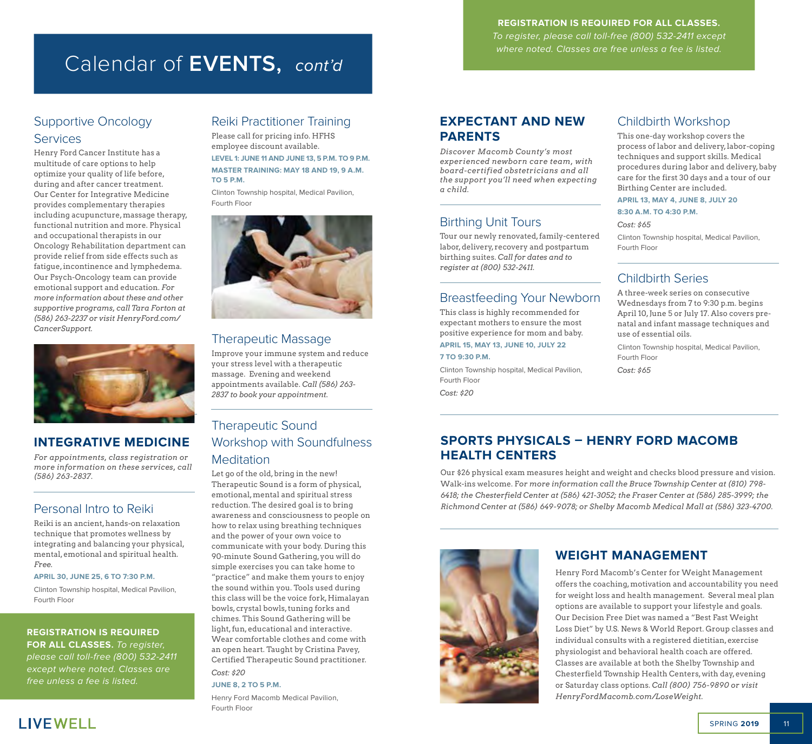# Calendar of **EVENTS,** cont'd

## **REGISTRATION IS REQUIRED FOR ALL CLASSES.**

To register, please call toll-free (800) 532-2411 except where noted. Classes are free unless a fee is listed.

## Supportive Oncology **Services**

Henry Ford Cancer Institute has a multitude of care options to help optimize your quality of life before, during and after cancer treatment. Our Center for Integrative Medicine provides complementary therapies including acupuncture, massage therapy, functional nutrition and more. Physical and occupational therapists in our Oncology Rehabilitation department can provide relief from side effects such as fatigue, incontinence and lymphedema. Our Psych-Oncology team can provide emotional support and education. *For more information about these and other supportive programs, call Tara Forton at (586) 263-2237 or visit HenryFord.com/ CancerSupport.*



## **INTEGRATIVE MEDICINE**

*For appointments, class registration or more information on these services, call (586) 263-2837.*

## Personal Intro to Reiki

Reiki is an ancient, hands-on relaxation technique that promotes wellness by integrating and balancing your physical, mental, emotional and spiritual health. *Free.*

#### **APRIL 30, JUNE 25, 6 TO 7:30 P.M.**

Clinton Township hospital, Medical Pavilion, Fourth Floor

## **REGISTRATION IS REQUIRED**

**FOR ALL CLASSES.** To register, please call toll-free (800) 532-2411 except where noted. Classes are free unless a fee is listed.

## Reiki Practitioner Training

Please call for pricing info. HFHS employee discount available. **LEVEL 1: JUNE 11 AND JUNE 13, 5 P.M. TO 9 P.M. MASTER TRAINING: MAY 18 AND 19, 9 A.M. TO 5 P.M.**

Clinton Township hospital, Medical Pavilion, Fourth Floor



## Therapeutic Massage

Improve your immune system and reduce your stress level with a therapeutic massage. Evening and weekend appointments available. *Call (586) 263- 2837 to book your appointment.* 

## Therapeutic Sound Workshop with Soundfulness **Meditation**

Let go of the old, bring in the new! Therapeutic Sound is a form of physical, emotional, mental and spiritual stress reduction. The desired goal is to bring awareness and consciousness to people on how to relax using breathing techniques and the power of your own voice to communicate with your body. During this 90-minute Sound Gathering, you will do simple exercises you can take home to "practice" and make them yours to enjoy the sound within you. Tools used during this class will be the voice fork, Himalayan bowls, crystal bowls, tuning forks and chimes. This Sound Gathering will be light, fun, educational and interactive. Wear comfortable clothes and come with an open heart. Taught by Cristina Pavey, Certified Therapeutic Sound practitioner. *Cost: \$20* 

#### **JUNE 8, 2 TO 5 P.M.**

Henry Ford Macomb Medical Pavilion, Fourth Floor

## **EXPECTANT AND NEW PARENTS**

*Discover Macomb County's most experienced newborn care team, with board-certified obstetricians and all the support you'll need when expecting a child.* 

## Birthing Unit Tours

Tour our newly renovated, family-centered labor, delivery, recovery and postpartum birthing suites. *Call for dates and to register at (800) 532-2411.*

## Breastfeeding Your Newborn

This class is highly recommended for expectant mothers to ensure the most positive experience for mom and baby. **APRIL 15, MAY 13, JUNE 10, JULY 22**

## **7 TO 9:30 P.M.**

Clinton Township hospital, Medical Pavilion, Fourth Floor *Cost: \$20*

## Childbirth Workshop

This one-day workshop covers the process of labor and delivery, labor-coping techniques and support skills. Medical procedures during labor and delivery, baby care for the first 30 days and a tour of our Birthing Center are included.

## **APRIL 13, MAY 4, JUNE 8, JULY 20**

**8:30 A.M. TO 4:30 P.M.**

*Cost: \$65*

Clinton Township hospital, Medical Pavilion, Fourth Floor

## Childbirth Series

A three-week series on consecutive Wednesdays from 7 to 9:30 p.m. begins April 10, June 5 or July 17. Also covers prenatal and infant massage techniques and use of essential oils.

Clinton Township hospital, Medical Pavilion, Fourth Floor

*Cost: \$65*

## **SPORTS PHYSICALS – HENRY FORD MACOMB HEALTH CENTERS**

Our \$26 physical exam measures height and weight and checks blood pressure and vision. Walk-ins welcome. F*or more information call the Bruce Township Center at (810) 798- 6418; the Chesterfield Center at (586) 421-3052; the Fraser Center at (586) 285-3999; the Richmond Center at (586) 649-9078; or Shelby Macomb Medical Mall at (586) 323-4700.* 



## **WEIGHT MANAGEMENT**

Henry Ford Macomb's Center for Weight Management offers the coaching, motivation and accountability you need for weight loss and health management. Several meal plan options are available to support your lifestyle and goals. Our Decision Free Diet was named a "Best Fast Weight Loss Diet" by U.S. News & World Report. Group classes and individual consults with a registered dietitian, exercise physiologist and behavioral health coach are offered. Classes are available at both the Shelby Township and Chesterfield Township Health Centers, with day, evening or Saturday class options. *Call (800) 756-9890 or visit HenryFordMacomb.com/LoseWeight.*

**LIVEWELL**